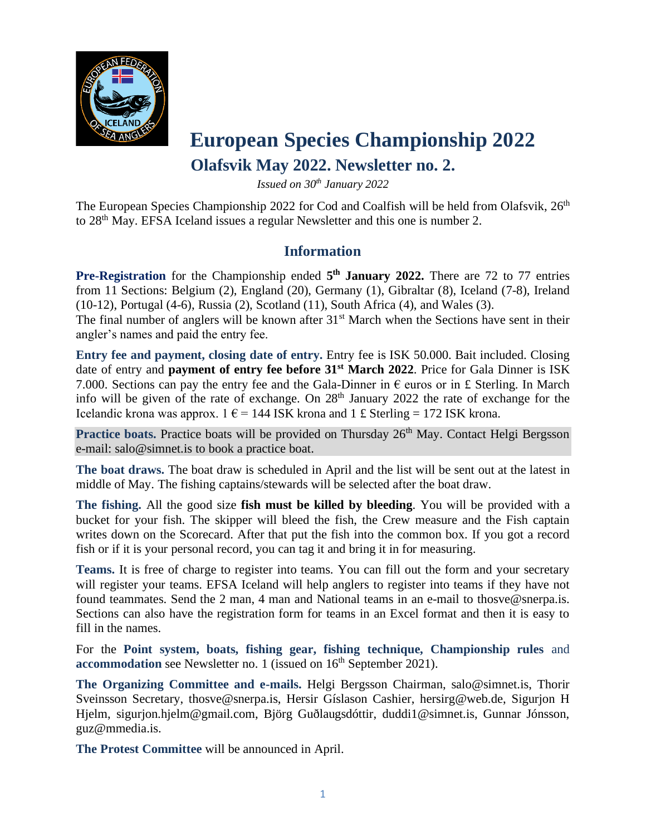

### **European Species Championship 2022**

#### **Olafsvik May 2022. Newsletter no. 2.**

*Issued on 30th January 2022*

The European Species Championship 2022 for Cod and Coalfish will be held from Olafsvik, 26<sup>th</sup> to 28<sup>th</sup> May. EFSA Iceland issues a regular Newsletter and this one is number 2.

#### **Information**

Pre-Registration for the Championship ended  $5<sup>th</sup>$  **January** 2022. There are 72 to 77 entries from 11 Sections: Belgium (2), England (20), Germany (1), Gibraltar (8), Iceland (7-8), Ireland (10-12), Portugal (4-6), Russia (2), Scotland (11), South Africa (4), and Wales (3).

The final number of anglers will be known after  $31<sup>st</sup>$  March when the Sections have sent in their angler's names and paid the entry fee.

**Entry fee and payment, closing date of entry.** Entry fee is ISK 50.000. Bait included. Closing date of entry and **payment of entry fee before 31st March 2022**. Price for Gala Dinner is ISK 7.000. Sections can pay the entry fee and the Gala-Dinner in  $\epsilon$  euros or in £ Sterling. In March info will be given of the rate of exchange. On  $28<sup>th</sup>$  January 2022 the rate of exchange for the Icelandic krona was approx.  $1 \epsilon = 144$  ISK krona and  $1 \epsilon$  Sterling = 172 ISK krona.

Practice boats. Practice boats will be provided on Thursday 26<sup>th</sup> May. Contact Helgi Bergsson e-mail: salo@simnet.is to book a practice boat.

**The boat draws.** The boat draw is scheduled in April and the list will be sent out at the latest in middle of May. The fishing captains/stewards will be selected after the boat draw.

**The fishing.** All the good size **fish must be killed by bleeding**. You will be provided with a bucket for your fish. The skipper will bleed the fish, the Crew measure and the Fish captain writes down on the Scorecard. After that put the fish into the common box. If you got a record fish or if it is your personal record, you can tag it and bring it in for measuring.

**Teams.** It is free of charge to register into teams. You can fill out the form and your secretary will register your teams. EFSA Iceland will help anglers to register into teams if they have not found teammates. Send the 2 man, 4 man and National teams in an e-mail to thosve@snerpa.is. Sections can also have the registration form for teams in an Excel format and then it is easy to fill in the names.

For the **Point system, boats, fishing gear, fishing technique, Championship rules** and **accommodation** see Newsletter no. 1 (issued on 16<sup>th</sup> September 2021).

**The Organizing Committee and e-mails.** Helgi Bergsson Chairman, salo@simnet.is, Thorir Sveinsson Secretary, thosve@snerpa.is, Hersir Gíslason Cashier, hersirg@web.de, Sigurjon H Hjelm, sigurjon.hjelm@gmail.com, Björg Guðlaugsdóttir, duddi1@simnet.is, Gunnar Jónsson, guz@mmedia.is.

**The Protest Committee** will be announced in April.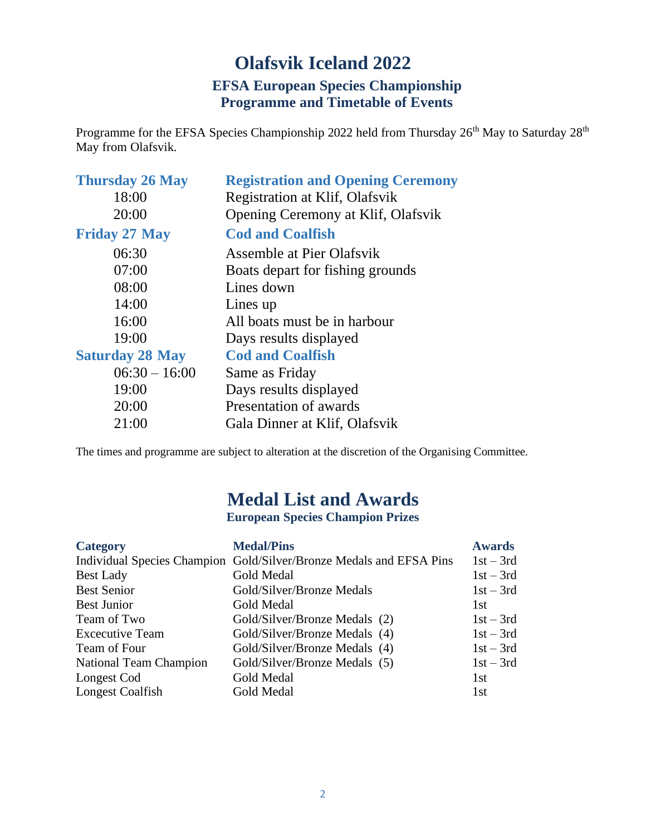#### **Olafsvik Iceland 2022 EFSA European Species Championship**

#### **Programme and Timetable of Events**

Programme for the EFSA Species Championship 2022 held from Thursday 26<sup>th</sup> May to Saturday 28<sup>th</sup> May from Olafsvik.

| <b>Thursday 26 May</b> | <b>Registration and Opening Ceremony</b> |
|------------------------|------------------------------------------|
| 18:00                  | Registration at Klif, Olafsvik           |
| 20:00                  | Opening Ceremony at Klif, Olafsvik       |
| <b>Friday 27 May</b>   | <b>Cod and Coalfish</b>                  |
| 06:30                  | Assemble at Pier Olafsvik                |
| 07:00                  | Boats depart for fishing grounds         |
| 08:00                  | Lines down                               |
| 14:00                  | Lines up                                 |
| 16:00                  | All boats must be in harbour             |
| 19:00                  | Days results displayed                   |
| <b>Saturday 28 May</b> | <b>Cod and Coalfish</b>                  |
| $06:30 - 16:00$        | Same as Friday                           |
| 19:00                  | Days results displayed                   |
| 20:00                  | Presentation of awards                   |
| 21:00                  | Gala Dinner at Klif, Olafsvik            |
|                        |                                          |

The times and programme are subject to alteration at the discretion of the Organising Committee.

#### **Medal List and Awards**

**European Species Champion Prizes**

| <b>Category</b>             | <b>Medal/Pins</b>                       | <b>Awards</b> |
|-----------------------------|-----------------------------------------|---------------|
| Individual Species Champion | Gold/Silver/Bronze Medals and EFSA Pins | $1st - 3rd$   |
| <b>Best Lady</b>            | Gold Medal                              | $1st - 3rd$   |
| <b>Best Senior</b>          | Gold/Silver/Bronze Medals               | $1st - 3rd$   |
| <b>Best Junior</b>          | Gold Medal                              | 1st           |
| Team of Two                 | Gold/Silver/Bronze Medals (2)           | $1st - 3rd$   |
| <b>Excecutive Team</b>      | Gold/Silver/Bronze Medals (4)           | $1st - 3rd$   |
| Team of Four                | Gold/Silver/Bronze Medals (4)           | $1st - 3rd$   |
| National Team Champion      | Gold/Silver/Bronze Medals (5)           | $1st - 3rd$   |
| Longest Cod                 | Gold Medal                              | 1st           |
| Longest Coalfish            | Gold Medal                              | 1st           |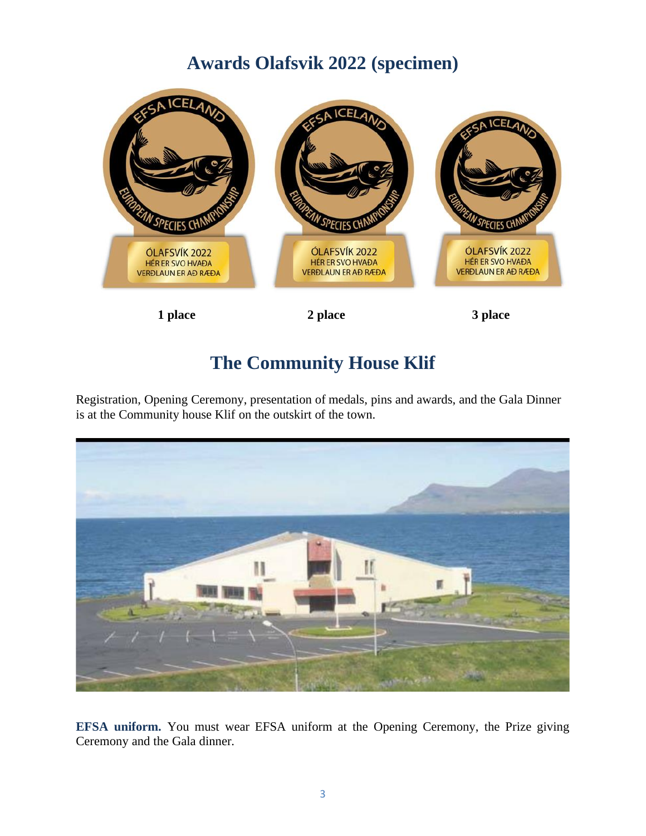#### **Awards Olafsvik 2022 (specimen)**



#### **The Community House Klif**

Registration, Opening Ceremony, presentation of medals, pins and awards, and the Gala Dinner is at the Community house Klif on the outskirt of the town.



**EFSA uniform.** You must wear EFSA uniform at the Opening Ceremony, the Prize giving Ceremony and the Gala dinner.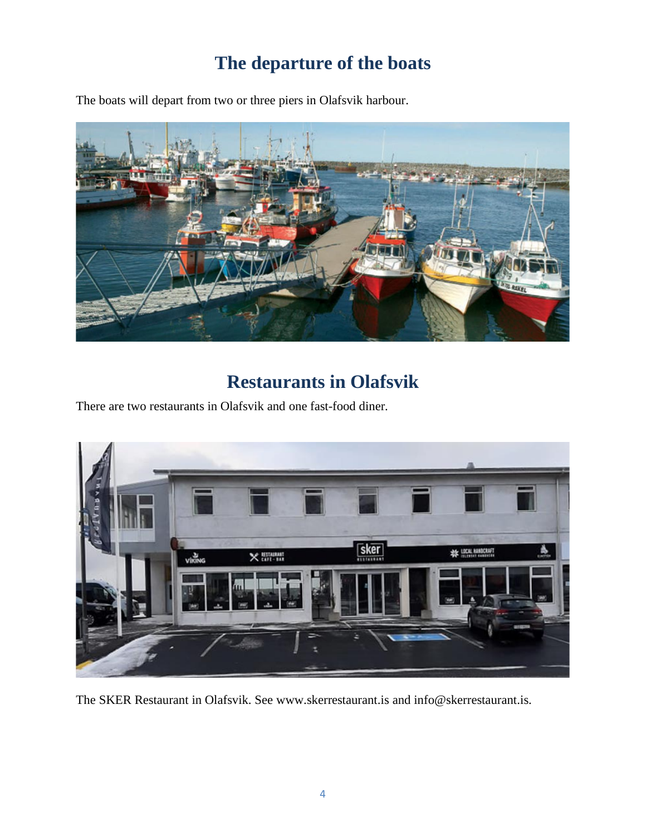## **The departure of the boats**

The boats will depart from two or three piers in Olafsvik harbour.



## **Restaurants in Olafsvik**

There are two restaurants in Olafsvik and one fast-food diner.



The SKER Restaurant in Olafsvik. See www.skerrestaurant.is and info@skerrestaurant.is.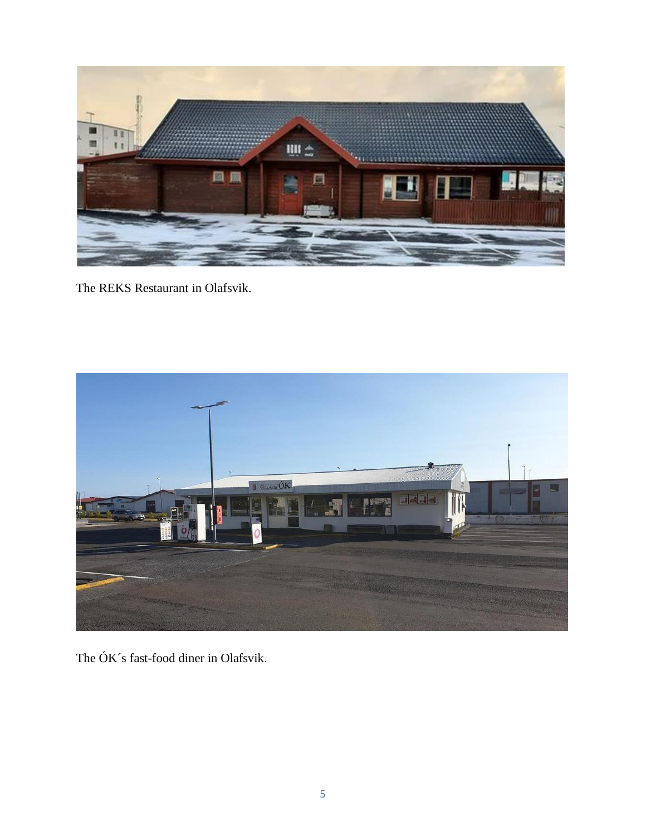

The REKS Restaurant in Olafsvik.



The ÓK´s fast-food diner in Olafsvik.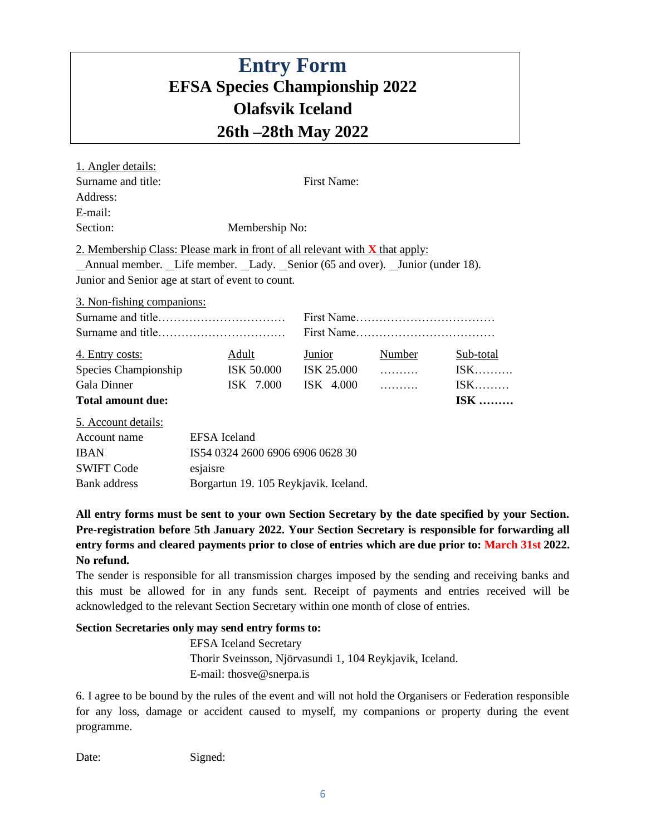#### **Entry Form EFSA Species Championship 2022 Olafsvik Iceland 26th –28th May 2022**

| 1. Angler details:                                                                  |                                       |              |               |                 |            |
|-------------------------------------------------------------------------------------|---------------------------------------|--------------|---------------|-----------------|------------|
| Surname and title:                                                                  | <b>First Name:</b>                    |              |               |                 |            |
| Address:                                                                            |                                       |              |               |                 |            |
| E-mail:                                                                             |                                       |              |               |                 |            |
| Section:                                                                            | Membership No:                        |              |               |                 |            |
| 2. Membership Class: Please mark in front of all relevant with <b>X</b> that apply: |                                       |              |               |                 |            |
| _Annual member. _Life member. _Lady. _Senior (65 and over). _Junior (under 18).     |                                       |              |               |                 |            |
| Junior and Senior age at start of event to count.                                   |                                       |              |               |                 |            |
| 3. Non-fishing companions:                                                          |                                       |              |               |                 |            |
|                                                                                     |                                       |              |               |                 |            |
|                                                                                     |                                       |              |               |                 |            |
| 4. Entry costs:                                                                     |                                       | <b>Adult</b> | <b>Junior</b> | <b>Number</b>   | Sub-total  |
| Species Championship                                                                |                                       | ISK 50.000   | ISK 25.000    |                 | $ISK$      |
| Gala Dinner                                                                         |                                       | ISK 7.000    | $ISK$ 4.000   | 1.1.1.1.1.1.1.1 | $ISK$      |
| <b>Total amount due:</b>                                                            |                                       |              |               |                 | <b>ISK</b> |
| 5. Account details:                                                                 |                                       |              |               |                 |            |
| Account name                                                                        | EFSA Iceland                          |              |               |                 |            |
| <b>IBAN</b>                                                                         | IS54 0324 2600 6906 6906 0628 30      |              |               |                 |            |
| <b>SWIFT Code</b>                                                                   | esjaisre                              |              |               |                 |            |
| <b>Bank</b> address                                                                 | Borgartun 19. 105 Reykjavik. Iceland. |              |               |                 |            |

**All entry forms must be sent to your own Section Secretary by the date specified by your Section. Pre-registration before 5th January 2022. Your Section Secretary is responsible for forwarding all entry forms and cleared payments prior to close of entries which are due prior to: March 31st 2022. No refund.**

The sender is responsible for all transmission charges imposed by the sending and receiving banks and this must be allowed for in any funds sent. Receipt of payments and entries received will be acknowledged to the relevant Section Secretary within one month of close of entries.

#### **Section Secretaries only may send entry forms to:**

EFSA Iceland Secretary Thorir Sveinsson, Njörvasundi 1, 104 Reykjavik, Iceland. E-mail: thosve@snerpa.is

6. I agree to be bound by the rules of the event and will not hold the Organisers or Federation responsible for any loss, damage or accident caused to myself, my companions or property during the event programme.

Date: Signed: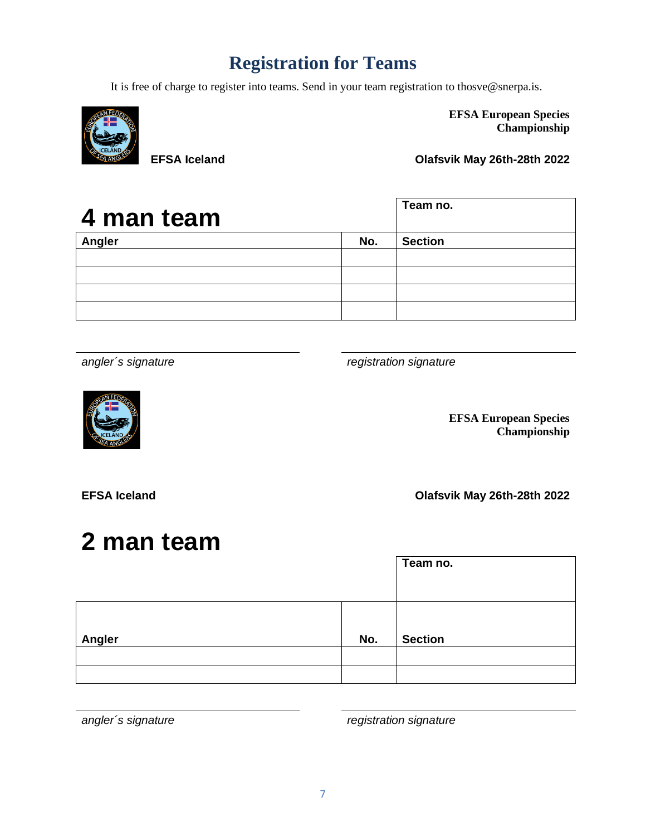#### **Registration for Teams**

It is free of charge to register into teams. Send in your team registration to thosve@snerpa.is.



**EFSA European Species Championship**

**EFSA Iceland Olafsvik May 26th-28th 2022**

| 4 man team |     | Team no.       |
|------------|-----|----------------|
| Angler     | No. | <b>Section</b> |
|            |     |                |
|            |     |                |
|            |     |                |
|            |     |                |

*angler´s signature registration signature*



**EFSA European Species Championship**

**EFSA Iceland Olafsvik May 26th-28th 2022**

# **2 man team**

|        |     | Team no.       |
|--------|-----|----------------|
| Angler | No. | <b>Section</b> |
|        |     |                |
|        |     |                |

*angler´s signature registration signature*